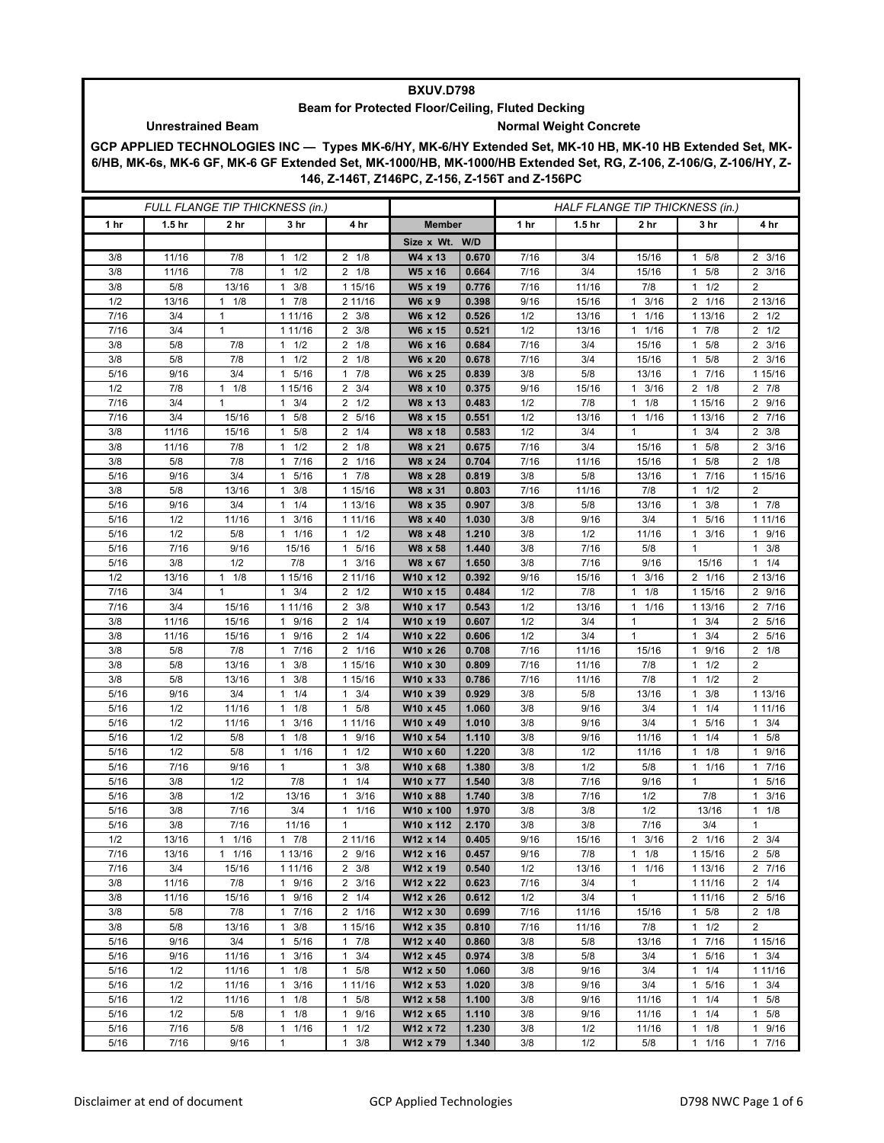## **BXUV.D798**

## **Beam for Protected Floor/Ceiling, Fluted Decking** Unrestrained Beam **Normal Weight Concrete**

**GCP APPLIED TECHNOLOGIES INC — Types MK-6/HY, MK-6/HY Extended Set, MK-10 HB, MK-10 HB Extended Set, MK-6/HB, MK-6s, MK-6 GF, MK-6 GF Extended Set, MK-1000/HB, MK-1000/HB Extended Set, RG, Z-106, Z-106/G, Z-106/HY, Z-146, Z-146T, Z146PC, Z-156, Z-156T and Z-156PC**

| FULL FLANGE TIP THICKNESS (in.) |                   |              |                                 |                                        | HALF FLANGE TIP THICKNESS (in.) |                |             |                   |                      |                                 |                           |
|---------------------------------|-------------------|--------------|---------------------------------|----------------------------------------|---------------------------------|----------------|-------------|-------------------|----------------------|---------------------------------|---------------------------|
| 1 hr                            | 1.5 <sub>hr</sub> | 2 hr         | 3 hr                            | 4 hr                                   | <b>Member</b>                   |                | 1 hr        | 1.5 <sub>hr</sub> | 2 <sub>hr</sub>      | 3 hr                            | 4 hr                      |
|                                 |                   |              |                                 |                                        | Size x Wt. W/D                  |                |             |                   |                      |                                 |                           |
| 3/8                             | 11/16             | 7/8          | 1/2<br>1                        | $2 \t1/8$                              | W4 x 13                         | 0.670          | 7/16        | 3/4               | 15/16                | 5/8<br>1                        | $2 \frac{3}{16}$          |
| 3/8                             | 11/16             | 7/8          | 1/2<br>1                        | $\overline{2}$<br>1/8                  | W5 x 16                         | 0.664          | 7/16        | 3/4               | 15/16                | 5/8<br>1                        | $2 \frac{3}{16}$          |
| 3/8                             | 5/8               | 13/16        | 3/8<br>1                        | 1 15/16                                | W5 x 19                         | 0.776          | 7/16        | 11/16             | 7/8                  | 1/2<br>1                        | $\overline{2}$            |
| 1/2                             | 13/16             | $1 \t1/8$    | $1 \t7/8$                       | 2 11/16                                | W6 x 9                          | 0.398          | 9/16        | 15/16             | 3/16<br>$\mathbf{1}$ | 2 1/16                          | 2 13/16                   |
| 7/16                            | 3/4               | $\mathbf{1}$ | 1 11/16                         | 3/8<br>$\overline{2}$                  | W6 x 12                         | 0.526          | 1/2         | 13/16             | 1/16<br>$\mathbf{1}$ | 1 13/16                         | $2 \frac{1}{2}$           |
| 7/16                            | 3/4               | $\mathbf{1}$ | 1 11/16                         | 3/8<br>$\overline{2}$                  | W6 x 15                         | 0.521          | 1/2         | 13/16             | 1/16<br>$\mathbf{1}$ | 7/8<br>$\mathbf{1}$             | $2 \frac{1}{2}$           |
| 3/8                             | 5/8               | 7/8          | $1 \t1/2$                       | $2 \t1/8$                              | W6 x 16                         | 0.684          | 7/16        | 3/4               | 15/16                | 5/8<br>1                        | $2 \frac{3}{16}$          |
| 3/8                             | 5/8               | 7/8          | 1/2<br>1                        | 2<br>1/8                               | W6 x 20                         | 0.678          | 7/16        | 3/4               | 15/16                | 5/8<br>1                        | $2 \frac{3}{16}$          |
| 5/16                            | 9/16              | 3/4          | 5/16<br>$\mathbf{1}$            | 7/8<br>$\mathbf{1}$                    | W6 x 25                         | 0.839          | 3/8         | 5/8               | 13/16                | 7/16<br>1                       | 1 15/16                   |
| 1/2                             | 7/8               | $1 \t1/8$    | 1 15/16                         | $2 \frac{3}{4}$                        | W8 x 10                         | 0.375          | 9/16        | 15/16             | $1 \t3/16$           | $2 \t1/8$                       | $2 \t7/8$                 |
| 7/16                            | 3/4               | 1            | 3/4<br>1                        | 2<br>1/2                               | W8 x 13                         | 0.483          | 1/2         | 7/8               | 1/8<br>$\mathbf{1}$  | 1 15/16                         | 2 9/16                    |
| 7/16                            | 3/4               | 15/16        | 5/8<br>$\mathbf{1}$             | $\overline{2}$<br>5/16                 | W8 x 15                         | 0.551          | 1/2         | 13/16             | 1/16<br>$\mathbf{1}$ | 1 13/16                         | 2 7/16                    |
| 3/8                             | 11/16             | 15/16        | $\mathbf{1}$<br>5/8             | 1/4<br>2                               | W8 x 18                         | 0.583          | 1/2         | 3/4               | $\mathbf{1}$         | 3/4<br>$\mathbf{1}$             | $2 \frac{3}{8}$           |
| 3/8                             | 11/16             | 7/8          | 1/2<br>$\mathbf{1}$             | 2<br>1/8                               | W8 x 21                         | 0.675          | 7/16        | 3/4               | 15/16                | 5/8<br>1                        | $2 \frac{3}{16}$          |
| 3/8                             | 5/8               | 7/8<br>3/4   | 7/16<br>1<br>$\mathbf{1}$       | 1/16<br>$\overline{2}$<br>$\mathbf{1}$ | W8 x 24                         | 0.704          | 7/16        | 11/16             | 15/16                | 5/8<br>1<br>$\mathbf{1}$        | $2 \t1/8$                 |
| 5/16                            | 9/16              |              | 5/16                            | 7/8                                    | W8 x 28<br>W8 x 31              | 0.819          | 3/8         | 5/8               | 13/16                | 7/16<br>$\mathbf{1}$            | 1 15/16<br>$\overline{2}$ |
| 3/8<br>5/16                     | 5/8<br>9/16       | 13/16<br>3/4 | 3/8<br>1<br>1/4<br>$\mathbf{1}$ | 1 15/16<br>1 13/16                     | W8 x 35                         | 0.803<br>0.907 | 7/16<br>3/8 | 11/16<br>5/8      | 7/8<br>13/16         | 1/2<br>3/8<br>1                 | 17/8                      |
| 5/16                            | 1/2               | 11/16        | 3/16<br>$\mathbf{1}$            | 1 11/16                                | W8 x 40                         | 1.030          | 3/8         | 9/16              | 3/4                  | 5/16<br>1                       | 1 1 1 / 16                |
| $5/16$                          | 1/2               | 5/8          | 1/16<br>1                       | 1/2<br>$\mathbf{1}$                    | W8 x 48                         | 1.210          | 3/8         | 1/2               | 11/16                | 3/16<br>-1                      | 1 9/16                    |
| 5/16                            | 7/16              | 9/16         | 15/16                           | 5/16<br>$\mathbf{1}$                   | W8 x 58                         | 1.440          | 3/8         | 7/16              | 5/8                  | $\mathbf{1}$                    | $1 \t3/8$                 |
| 5/16                            | 3/8               | 1/2          | 7/8                             | 3/16<br>$\mathbf{1}$                   | W8 x 67                         | 1.650          | 3/8         | 7/16              | 9/16                 | 15/16                           | $1 \t1/4$                 |
| 1/2                             | 13/16             | $1 \t1/8$    | 1 15/16                         | 2 11/16                                | W10 x 12                        | 0.392          | 9/16        | 15/16             | 3/16<br>$\mathbf{1}$ | 2 1/16                          | 2 13/16                   |
| 7/16                            | 3/4               | $\mathbf{1}$ | $1 \t3/4$                       | 2<br>1/2                               | W10 x 15                        | 0.484          | 1/2         | 7/8               | 1/8<br>$\mathbf{1}$  | 1 15/16                         | 2 9/16                    |
| 7/16                            | 3/4               | 15/16        | 1 11/16                         | $\overline{2}$<br>3/8                  | W10 x 17                        | 0.543          | 1/2         | 13/16             | 1/16<br>$\mathbf{1}$ | 1 13/16                         | 2 7/16                    |
| 3/8                             | 11/16             | 15/16        | 9/16<br>$\mathbf{1}$            | $\overline{2}$<br>1/4                  | W10 x 19                        | 0.607          | 1/2         | 3/4               | $\mathbf{1}$         | 3/4<br>1                        | 2 5/16                    |
| 3/8                             | 11/16             | 15/16        | 9/16<br>$\mathbf{1}$            | 1/4<br>2                               | W10 x 22                        | 0.606          | 1/2         | 3/4               | $\mathbf{1}$         | 3/4<br>1                        | $\overline{2}$<br>5/16    |
| 3/8                             | 5/8               | 7/8          | 17/16                           | 2 1/16                                 | W10 x 26                        | 0.708          | 7/16        | 11/16             | 15/16                | 9/16<br>1                       | $2 \t1/8$                 |
| 3/8                             | 5/8               | 13/16        | 3/8<br>1                        | 1 15/16                                | W10 x 30                        | 0.809          | 7/16        | 11/16             | 7/8                  | 1/2<br>1                        | 2                         |
| 3/8                             | 5/8               | 13/16        | 3/8<br>1                        | 1 15/16                                | W10 x 33                        | 0.786          | 7/16        | 11/16             | 7/8                  | 1/2<br>1                        | $\overline{2}$            |
| 5/16                            | 9/16              | 3/4          | 1/4<br>$\mathbf{1}$             | 3/4<br>$\mathbf{1}$                    | W10 x 39                        | 0.929          | 3/8         | 5/8               | 13/16                | 3/8<br>1                        | 1 13/16                   |
| 5/16                            | 1/2               | 11/16        | $1 \t1/8$                       | $1 \t5/8$                              | W10 x 45                        | 1.060          | 3/8         | 9/16              | 3/4                  | 1/4<br>$\mathbf{1}$             | 1 11/16                   |
| 5/16                            | 1/2               | 11/16        | 3/16<br>1                       | 1 11/16                                | W10 x 49                        | 1.010          | 3/8         | 9/16              | 3/4                  | 5/16<br>1                       | 3/4<br>1                  |
| 5/16                            | 1/2               | 5/8          | 1/8<br>$\mathbf{1}$             | 9/16<br>$\mathbf{1}$                   | W10 x 54                        | 1.110          | 3/8         | 9/16              | 11/16                | 1/4<br>1                        | $1 \t5/8$                 |
| 5/16                            | 1/2               | 5/8          | 11/16                           | 1/2<br>$\mathbf{1}$                    | W10 x 60                        | 1.220          | 3/8         | 1/2               | 11/16                | 1/8<br>1                        | 1 9/16                    |
| 5/16                            | 7/16              | 9/16         | $\mathbf{1}$                    | 3/8<br>$\mathbf{1}$                    | W10 x 68                        | 1.380          | 3/8         | 1/2               | 5/8                  | 1/16<br>1                       | 7/16<br>1                 |
| 5/16                            | 3/8               | 1/2          | 7/8                             | 1/4<br>$\mathbf{1}$                    | W10 x 77                        | 1.540          | 3/8         | 7/16              | 9/16                 | $\mathbf{1}$                    | 1 5/16                    |
| 5/16                            | 3/8               | 1/2          | 13/16                           | 3/16<br>$\mathbf{1}$                   | W10 x 88                        | 1.740          | 3/8         | 7/16              | 1/2                  | 7/8                             | 1<br>3/16                 |
| 5/16<br>5/16                    | 3/8<br>3/8        | 7/16<br>7/16 | 3/4<br>11/16                    | 1/16<br>$\mathbf{1}$<br>$\mathbf{1}$   | W10 x 100<br>W10 x 112          | 1.970          | 3/8<br>3/8  | 3/8<br>3/8        | 1/2<br>7/16          | 13/16<br>3/4                    | $1 \t1/8$<br>$\mathbf{1}$ |
| 1/2                             |                   | 1/16<br>1    | 7/8<br>1                        |                                        | W12 x 14                        | 2.170<br>0.405 | 9/16        | 15/16             | 3/16<br>1            | $\overline{\mathbf{c}}$<br>1/16 | $\overline{2}$<br>3/4     |
| 7/16                            | 13/16<br>13/16    | $1 \t1/16$   | 1 13/16                         | 2 11/16<br>2 9/16                      | W12 x 16                        | 0.457          | 9/16        | 7/8               | $1 \t1/8$            | 1 15/16                         | 2 5/8                     |
| 7/16                            | 3/4               | 15/16        | 1 11/16                         | 3/8<br>$\overline{2}$                  | W12 x 19                        | 0.540          | 1/2         | 13/16             | 1/16<br>$\mathbf{1}$ | 1 13/16                         | 2 7/16                    |
| 3/8                             | 11/16             | 7/8          | 1 9/16                          | $\overline{2}$<br>3/16                 | W12 x 22                        | 0.623          | 7/16        | 3/4               | $\mathbf{1}$         | 1 1 1 / 1 6                     | $2 \t1/4$                 |
| 3/8                             | 11/16             | 15/16        | 9/16<br>$\mathbf{1}$            | $2 \t1/4$                              | W12 x 26                        | 0.612          | 1/2         | 3/4               | $\mathbf{1}$         | 1 1 1/16                        | 2 5/16                    |
| 3/8                             | 5/8               | 7/8          | 17/16                           | 2 1/16                                 | W12 x 30                        | 0.699          | 7/16        | 11/16             | 15/16                | 5/8<br>$\mathbf{1}$             | $2 \t1/8$                 |
| 3/8                             | 5/8               | 13/16        | 3/8<br>$\mathbf{1}$             | 1 15/16                                | W12 x 35                        | 0.810          | 7/16        | 11/16             | 7/8                  | 1/2<br>1                        | $\overline{2}$            |
| 5/16                            | 9/16              | 3/4          | 5/16<br>$\mathbf{1}$            | 17/8                                   | W12 x 40                        | 0.860          | 3/8         | 5/8               | 13/16                | 7/16<br>$\mathbf{1}$            | 1 15/16                   |
| 5/16                            | 9/16              | 11/16        | 3/16<br>$\mathbf{1}$            | $\mathbf{1}$<br>3/4                    | W12 x 45                        | 0.974          | 3/8         | 5/8               | 3/4                  | 5/16<br>$\mathbf{1}$            | $1 \t3/4$                 |
| 5/16                            | 1/2               | 11/16        | 1/8<br>$\mathbf{1}$             | 5/8<br>$\mathbf{1}$                    | W12 x 50                        | 1.060          | 3/8         | 9/16              | 3/4                  | 1/4<br>$\mathbf{1}$             | 1 11/16                   |
| 5/16                            | 1/2               | 11/16        | 3/16<br>$\mathbf{1}$            | 1 11/16                                | W12 x 53                        | 1.020          | 3/8         | 9/16              | 3/4                  | 5/16<br>1                       | $1 \t3/4$                 |
| 5/16                            | 1/2               | 11/16        | 1/8<br>$\mathbf{1}$             | 5/8<br>$\mathbf{1}$                    | W12 x 58                        | 1.100          | 3/8         | 9/16              | 11/16                | 1/4<br>$\mathbf{1}$             | $\mathbf{1}$<br>5/8       |
| 5/16                            | 1/2               | 5/8          | $1 \t1/8$                       | $\mathbf{1}$<br>9/16                   | W12 x 65                        | 1.110          | 3/8         | 9/16              | 11/16                | $\mathbf{1}$<br>1/4             | $1 \t5/8$                 |
| 5/16                            | 7/16              | 5/8          | $1 \t1/16$                      | 1/2<br>$\mathbf{1}$                    | W12 x 72                        | 1.230          | 3/8         | 1/2               | 11/16                | $1 \t1/8$                       | 1 9/16                    |
| 5/16                            | 7/16              | 9/16         | $\mathbf{1}$                    | 3/8<br>$\mathbf{1}$                    | W12 x 79                        | 1.340          | 3/8         | 1/2               | 5/8                  | $1 \t1/16$                      | 17/16                     |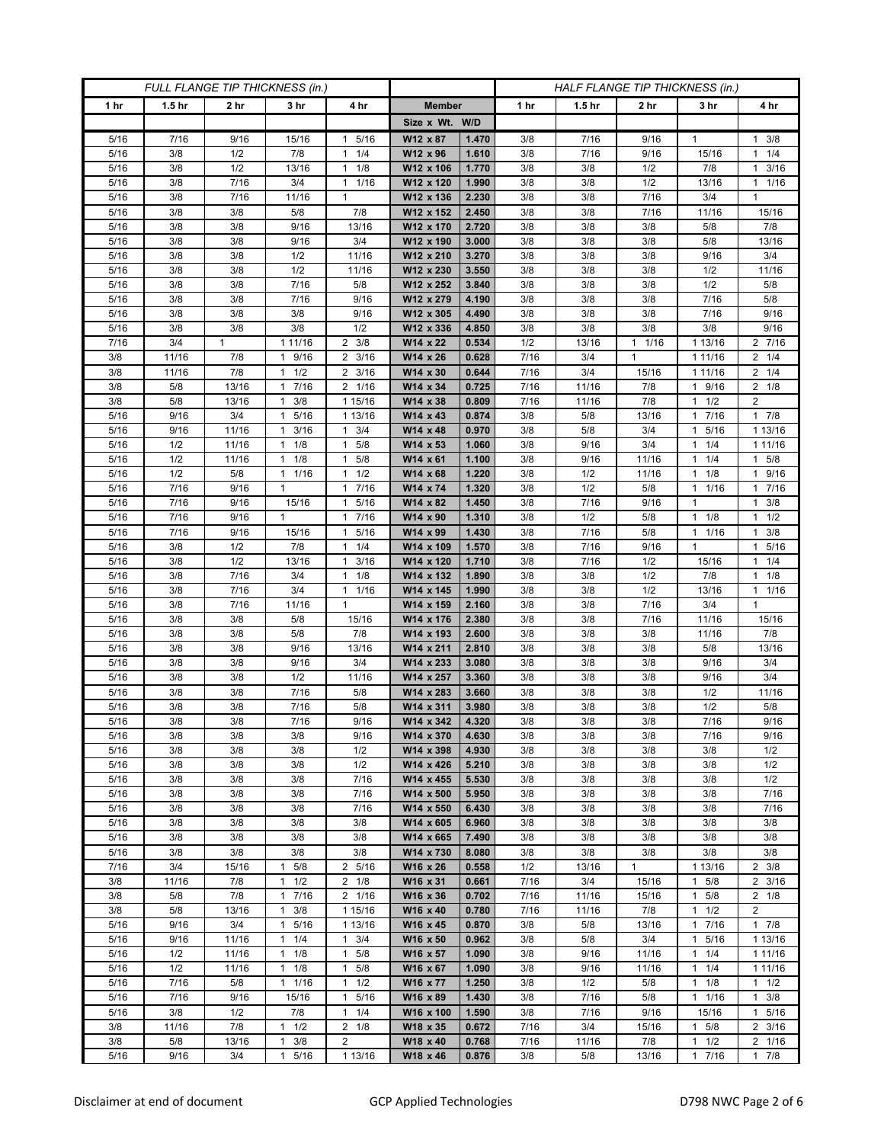| FULL FLANGE TIP THICKNESS (in.) |                   |                 |                       |                      |                        | HALF FLANGE TIP THICKNESS (in.) |            |                   |                             |                                             |                        |  |
|---------------------------------|-------------------|-----------------|-----------------------|----------------------|------------------------|---------------------------------|------------|-------------------|-----------------------------|---------------------------------------------|------------------------|--|
| 1 hr                            | 1.5 <sub>hr</sub> | 2 <sub>hr</sub> | 3 <sub>hr</sub>       | 4 hr                 | <b>Member</b>          |                                 | 1 hr       | 1.5 <sub>hr</sub> | 2 <sub>hr</sub>             | 3 hr                                        | 4 hr                   |  |
|                                 |                   |                 |                       |                      | Size x Wt. W/D         |                                 |            |                   |                             |                                             |                        |  |
| 5/16                            | 7/16              | 9/16            | 15/16                 | 5/16<br>1            | W12 x 87               | 1.470                           | 3/8        | 7/16              | 9/16                        | 1                                           | $1 \t3/8$              |  |
| 5/16                            | 3/8               | 1/2             | 7/8                   | 1/4<br>$\mathbf{1}$  | W12 x 96               | 1.610                           | 3/8        | 7/16              | 9/16                        | 15/16                                       | $1 \t1/4$              |  |
| 5/16                            | 3/8               | 1/2             | 13/16                 | 1/8<br>$\mathbf{1}$  | W12 x 106              | 1.770                           | 3/8        | 3/8               | 1/2                         | 7/8                                         | $1 \t3/16$             |  |
| 5/16                            | 3/8               | 7/16            | 3/4                   | 1/16<br>$\mathbf{1}$ | W12 x 120              | 1.990                           | 3/8        | 3/8               | 1/2                         | 13/16                                       | $1 \t1/16$             |  |
| 5/16                            | 3/8               | 7/16            | 11/16                 | $\mathbf{1}$         | W12 x 136              | 2.230                           | 3/8        | 3/8               | 7/16                        | 3/4                                         | $\mathbf{1}$           |  |
| 5/16                            | 3/8               | 3/8             | 5/8                   | 7/8                  | W12 x 152              | 2.450                           | 3/8        | 3/8               | 7/16                        | 11/16                                       | 15/16                  |  |
| 5/16                            | 3/8               | 3/8             | 9/16                  | 13/16                | W12 x 170              | 2.720                           | 3/8        | 3/8               | 3/8                         | 5/8                                         | 7/8                    |  |
| 5/16                            | 3/8               | 3/8             | 9/16                  | 3/4                  | W12 x 190              | 3.000                           | 3/8        | 3/8               | 3/8                         | 5/8                                         | 13/16                  |  |
| 5/16                            | 3/8               | 3/8             | 1/2                   | 11/16                | W12 x 210              | 3.270                           | 3/8        | 3/8               | 3/8                         | 9/16                                        | 3/4                    |  |
| 5/16                            | 3/8               | 3/8             | 1/2                   | 11/16                | W12 x 230              | 3.550                           | 3/8        | 3/8               | 3/8                         | 1/2                                         | 11/16                  |  |
| 5/16                            | 3/8               | 3/8             | 7/16                  | 5/8                  | W12 x 252              | 3.840                           | 3/8        | 3/8               | 3/8                         | 1/2                                         | 5/8                    |  |
| 5/16                            | 3/8               | 3/8             | 7/16                  | 9/16                 | W12 x 279              | 4.190                           | 3/8        | 3/8               | 3/8                         | 7/16                                        | $5/8$                  |  |
| 5/16                            | 3/8               | 3/8             | 3/8                   | 9/16                 | W12 x 305              | 4.490                           | 3/8        | 3/8               | 3/8                         | 7/16                                        | 9/16                   |  |
| 5/16<br>7/16                    | 3/8<br>3/4        | 3/8<br>1        | 3/8<br>1 11/16        | 1/2<br>2<br>3/8      | W12 x 336<br>W14 x 22  | 4.850<br>0.534                  | 3/8<br>1/2 | 3/8<br>13/16      | 3/8<br>1/16<br>$\mathbf{1}$ | 3/8<br>1 13/16                              | 9/16<br>2 7/16         |  |
| 3/8                             | 11/16             | 7/8             | 9/16<br>$\mathbf{1}$  | $2 \frac{3}{16}$     | W14 x 26               | 0.628                           | 7/16       | 3/4               | $\mathbf{1}$                | 1 1 1 / 16                                  | $2 \t1/4$              |  |
| 3/8                             | 11/16             | 7/8             | 1/2<br>$\mathbf{1}$   | 3/16<br>2            | W14 x 30               | 0.644                           | 7/16       | 3/4               | 15/16                       | 1 1 1 / 1 6                                 | $2 \t1/4$              |  |
| 3/8                             | 5/8               | 13/16           | 17/16                 | 2 1/16               | W14 x 34               | 0.725                           | 7/16       | 11/16             | 7/8                         | 1 9/16                                      | $2 \t1/8$              |  |
| 3/8                             | 5/8               | 13/16           | 3/8<br>$\mathbf{1}$   | 1 15/16              | W14 x 38               | 0.809                           | 7/16       | 11/16             | 7/8                         | $1 \t1/2$                                   | 2                      |  |
| 5/16                            | 9/16              | 3/4             | 5/16<br>1             | 1 13/16              | W14 x 43               | 0.874                           | 3/8        | 5/8               | 13/16                       | 7/16<br>1                                   | 17/8                   |  |
| 5/16                            | 9/16              | 11/16           | $1 \t3/16$            | 3/4<br>$\mathbf{1}$  | W14 x 48               | 0.970                           | 3/8        | 5/8               | 3/4                         | 5/16<br>1                                   | 1 13/16                |  |
| 5/16                            | 1/2               | 11/16           | $1 \t1/8$             | 5/8<br>1             | W14 x 53               | 1.060                           | 3/8        | 9/16              | 3/4                         | $1 \t1/4$                                   | 1 11/16                |  |
| 5/16                            | 1/2               | 11/16           | 1/8<br>1              | 5/8<br>$\mathbf{1}$  | W14 x 61               | 1.100                           | 3/8        | 9/16              | 11/16                       | 1/4                                         | $1 \t5/8$              |  |
| 5/16                            | 1/2               | $5/8$           | 1 1/16                | 1/2<br>$\mathbf{1}$  | $W14 \times 68$        | 1.220                           | 3/8        | 1/2               | 11/16                       | 1/8<br>1                                    | 1 9/16                 |  |
| 5/16                            | 7/16              | 9/16            | 1                     | 7/16<br>1            | W14 x 74               | 1.320                           | 3/8        | 1/2               | 5/8                         | 1 1/16                                      | 17/16                  |  |
| 5/16                            | 7/16              | 9/16            | 15/16                 | 5/16<br>$\mathbf{1}$ | W14 x 82               | 1.450                           | 3/8        | 7/16              | 9/16                        | 1                                           | $1 \t3/8$              |  |
| 5/16                            | 7/16              | 9/16            | $\mathbf{1}$          | 7/16<br>$\mathbf{1}$ | W14 x 90               | 1.310                           | 3/8        | 1/2               | 5/8                         | 1/8<br>$\mathbf{1}$                         | $1 \t1/2$              |  |
| 5/16                            | 7/16              | 9/16            | 15/16                 | 5/16<br>$\mathbf{1}$ | W14 x 99               | 1.430                           | 3/8        | 7/16              | 5/8                         | 1 1/16                                      | $1 \t3/8$              |  |
| 5/16                            | 3/8               | 1/2             | 7/8                   | 1/4<br>$\mathbf{1}$  | W14 x 109              | 1.570                           | 3/8        | 7/16              | 9/16                        | 1                                           | 5/16<br>$\mathbf{1}$   |  |
| 5/16                            | 3/8               | 1/2             | 13/16                 | 3/16<br>$\mathbf{1}$ | W14 x 120              | 1.710                           | 3/8        | 7/16              | 1/2                         | 15/16                                       | $1 \t1/4$              |  |
| 5/16                            | 3/8               | 7/16            | 3/4                   | 1/8<br>$\mathbf{1}$  | W14 x 132              | 1.890                           | 3/8        | 3/8               | 1/2                         | 7/8                                         | $1 \t1/8$              |  |
| 5/16                            | 3/8               | 7/16            | 3/4                   | 1/16<br>1            | W14 x 145              | 1.990                           | 3/8        | 3/8               | 1/2                         | 13/16                                       | $1 \t1/16$             |  |
| 5/16                            | 3/8               | 7/16            | 11/16                 | $\mathbf{1}$         | W14 x 159              | 2.160                           | 3/8        | 3/8               | 7/16                        | 3/4                                         | $\mathbf{1}$           |  |
| 5/16                            | 3/8               | 3/8             | 5/8                   | 15/16                | W14 x 176              | 2.380                           | 3/8        | 3/8               | 7/16                        | 11/16                                       | 15/16                  |  |
| 5/16                            | 3/8               | 3/8             | 5/8                   | 7/8                  | W14 x 193              | 2.600                           | 3/8        | 3/8               | 3/8                         | 11/16                                       | 7/8                    |  |
| 5/16<br>5/16                    | 3/8<br>3/8        | 3/8<br>3/8      | 9/16<br>9/16          | 13/16<br>3/4         | W14 x 211<br>W14 x 233 | 2.810<br>3.080                  | 3/8<br>3/8 | 3/8<br>3/8        | 3/8<br>3/8                  | 5/8<br>9/16                                 | 13/16<br>3/4           |  |
| 5/16                            | 3/8               | 3/8             | 1/2                   | 11/16                | W14 x 257              | 3.360                           | 3/8        | 3/8               | 3/8                         | 9/16                                        | 3/4                    |  |
| 5/16                            | 3/8               | 3/8             | 7/16                  | 5/8                  | W14 x 283              | 3.660                           | 3/8        | 3/8               | 3/8                         | 1/2                                         | 11/16                  |  |
| 5/16                            | 3/8               | 3/8             | 7/16                  | 5/8                  | W14 x 311              | 3.980                           | 3/8        | 3/8               | 3/8                         | 1/2                                         | 5/8                    |  |
| 5/16                            | 3/8               | 3/8             | 7/16                  | 9/16                 | W14 x 342              | 4.320                           | 3/8        | 3/8               | 3/8                         | 7/16                                        | 9/16                   |  |
| 5/16                            | 3/8               | 3/8             | 3/8                   | 9/16                 | W14 x 370              | 4.630                           | 3/8        | 3/8               | 3/8                         | 7/16                                        | 9/16                   |  |
| 5/16                            | 3/8               | 3/8             | 3/8                   | 1/2                  | W14 x 398              | 4.930                           | 3/8        | 3/8               | 3/8                         | 3/8                                         | 1/2                    |  |
| 5/16                            | 3/8               | 3/8             | 3/8                   | 1/2                  | W14 x 426              | 5.210                           | 3/8        | 3/8               | 3/8                         | 3/8                                         | 1/2                    |  |
| 5/16                            | 3/8               | 3/8             | 3/8                   | 7/16                 | W14 x 455              | 5.530                           | 3/8        | 3/8               | 3/8                         | 3/8                                         | 1/2                    |  |
| 5/16                            | 3/8               | 3/8             | 3/8                   | 7/16                 | W14 x 500              | 5.950                           | 3/8        | 3/8               | 3/8                         | 3/8                                         | 7/16                   |  |
| 5/16                            | 3/8               | 3/8             | 3/8                   | 7/16                 | W14 x 550              | 6.430                           | 3/8        | 3/8               | 3/8                         | 3/8                                         | 7/16                   |  |
| 5/16                            | 3/8               | 3/8             | 3/8                   | 3/8                  | W14 x 605              | 6.960                           | 3/8        | 3/8               | 3/8                         | 3/8                                         | 3/8                    |  |
| 5/16                            | 3/8               | 3/8             | 3/8                   | 3/8                  | W14 x 665              | 7.490                           | 3/8        | 3/8               | 3/8                         | 3/8                                         | 3/8                    |  |
| 5/16                            | 3/8               | 3/8             | 3/8                   | 3/8                  | W14 x 730              | 8.080                           | 3/8        | 3/8               | 3/8                         | 3/8                                         | 3/8                    |  |
| 7/16                            | 3/4               | 15/16           | 5/8<br>1              | 2 5/16               | W16 x 26               | 0.558                           | 1/2        | 13/16             | $\mathbf{1}$                | 1 13/16                                     | $2 \frac{3}{8}$        |  |
| 3/8                             | 11/16             | 7/8             | $1 \t1/2$             | $2 \t1/8$            | W16 x 31               | 0.661                           | 7/16       | 3/4               | 15/16                       | 5/8<br>$\mathbf{1}$                         | $2 \frac{3}{16}$       |  |
| 3/8                             | 5/8               | 7/8             | 17/16                 | 2 1/16               | W16 x 36               | 0.702                           | 7/16       | 11/16             | 15/16                       | $1 \t5/8$                                   | $2 \t1/8$              |  |
| 3/8<br>5/16                     | 5/8<br>9/16       | 13/16<br>3/4    | 3/8<br>1<br>5/16<br>1 | 1 15/16<br>1 13/16   | W16 x 40<br>W16 x 45   | 0.780<br>0.870                  | 7/16       | 11/16             | 7/8                         | 1/2<br>$\mathbf{1}$<br>7/16<br>$\mathbf{1}$ | $\overline{2}$<br>17/8 |  |
| 5/16                            | 9/16              | 11/16           | $1 \t1/4$             | 3/4<br>$\mathbf{1}$  | W16 x 50               | 0.962                           | 3/8<br>3/8 | 5/8<br>5/8        | 13/16<br>3/4                | 5/16<br>1                                   | 1 13/16                |  |
| 5/16                            | 1/2               | 11/16           | $1 \t1/8$             | 5/8<br>$\mathbf{1}$  | W16 x 57               | 1.090                           | 3/8        | 9/16              | 11/16                       | $1 \t1/4$                                   | 1 11/16                |  |
| 5/16                            | 1/2               | 11/16           | $1 \t1/8$             | 5/8<br>1             | W16 x 67               | 1.090                           | 3/8        | 9/16              | 11/16                       | 1/4<br>$\mathbf{1}$                         | 1 11/16                |  |
| 5/16                            | 7/16              | 5/8             | 1 1/16                | 1/2<br>$\mathbf{1}$  | W16 x 77               | 1.250                           | 3/8        | 1/2               | 5/8                         | $1 \t1/8$                                   | $1 \t1/2$              |  |
| 5/16                            | 7/16              | 9/16            | 15/16                 | 5/16<br>$\mathbf{1}$ | W16 x 89               | 1.430                           | 3/8        | 7/16              | 5/8                         | 11/16                                       | $1 \t3/8$              |  |
| 5/16                            | 3/8               | 1/2             | 7/8                   | 1/4<br>$\mathbf{1}$  | W16 x 100              | 1.590                           | 3/8        | 7/16              | 9/16                        | 15/16                                       | 1 5/16                 |  |
| 3/8                             | 11/16             | 7/8             | 1/2<br>1              | $2 \t1/8$            | W18 x 35               | 0.672                           | 7/16       | 3/4               | 15/16                       | 5/8<br>1                                    | $2 \frac{3}{16}$       |  |
| 3/8                             | 5/8               | 13/16           | 3/8<br>1              | $\overline{2}$       | W18 x 40               | 0.768                           | 7/16       | 11/16             | 7/8                         | 1/2<br>1                                    | 2 1/16                 |  |
| 5/16                            | 9/16              | 3/4             | 5/16<br>$\mathbf{1}$  | 1 13/16              | W18 x 46               | 0.876                           | 3/8        | 5/8               | 13/16                       | $\mathbf{1}$<br>7/16                        | 17/8                   |  |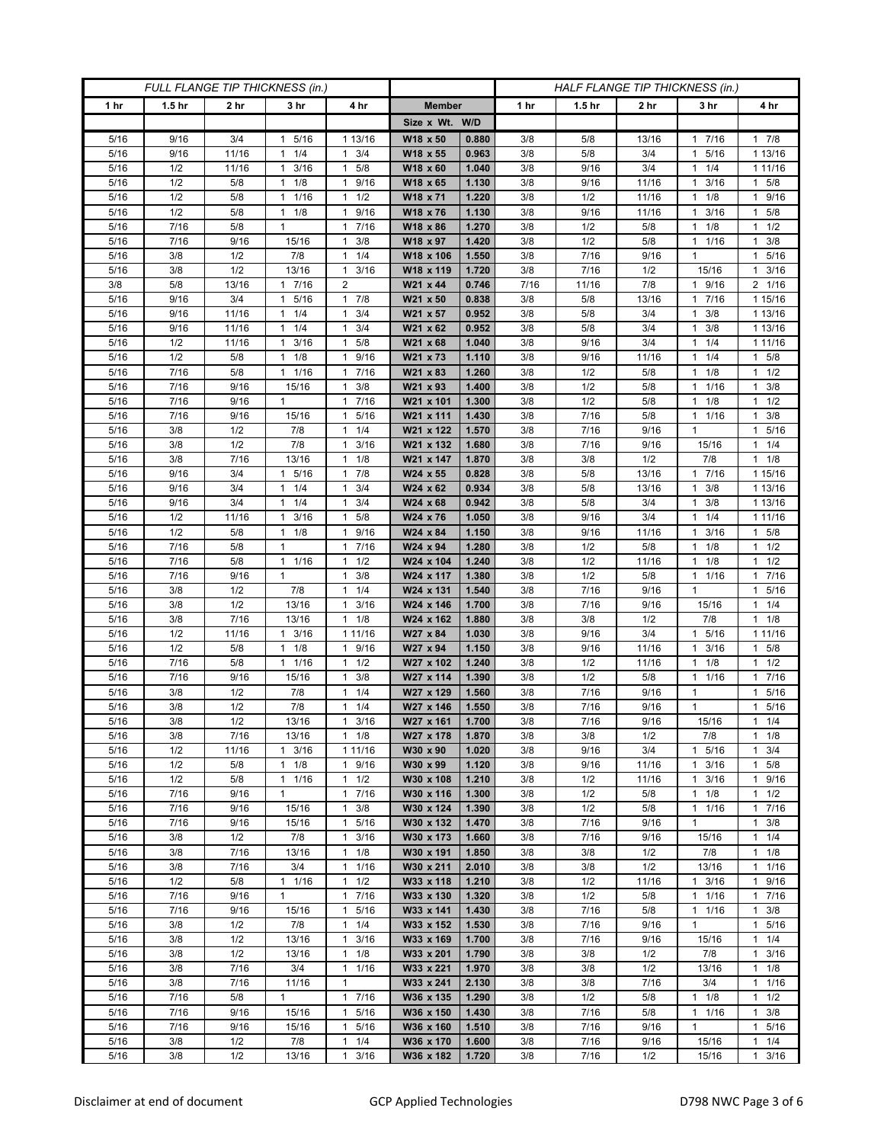| FULL FLANGE TIP THICKNESS (in.) |                   |                 |                                 |                                  |                        | HALF FLANGE TIP THICKNESS (in.) |            |                   |                 |                      |                         |
|---------------------------------|-------------------|-----------------|---------------------------------|----------------------------------|------------------------|---------------------------------|------------|-------------------|-----------------|----------------------|-------------------------|
| 1 hr                            | 1.5 <sub>hr</sub> | 2 <sub>hr</sub> | 3 <sub>hr</sub>                 | 4 hr                             | <b>Member</b>          |                                 | 1 hr       | 1.5 <sub>hr</sub> | 2 <sub>hr</sub> | 3 hr                 | 4 hr                    |
|                                 |                   |                 |                                 |                                  | Size x Wt. W/D         |                                 |            |                   |                 |                      |                         |
| 5/16                            | 9/16              | 3/4             | 5/16<br>1                       | 1 13/16                          | W18 x 50               | 0.880                           | 3/8        | 5/8               | 13/16           | 7/16<br>1            | 17/8                    |
| 5/16                            | 9/16              | 11/16           | 1/4<br>$\mathbf{1}$             | 3/4<br>$\mathbf{1}$              | W18 x 55               | 0.963                           | 3/8        | 5/8               | 3/4             | 5/16<br>1            | 1 13/16                 |
| 5/16                            | 1/2               | 11/16           | 3/16<br>$\mathbf{1}$            | $\mathbf{1}$<br>5/8              | W18 x 60               | 1.040                           | 3/8        | 9/16              | 3/4             | 1/4<br>1             | 1 11/16                 |
| 5/16                            | 1/2               | 5/8             | 1/8<br>$\mathbf{1}$             | 9/16<br>$\mathbf{1}$             | W18 x 65               | 1.130                           | 3/8        | 9/16              | 11/16           | 3/16<br>1            | $1 \t5/8$               |
| 5/16                            | 1/2               | 5/8             | 1/16<br>1                       | $\mathbf{1}$<br>1/2              | W18 x 71               | 1.220                           | 3/8        | 1/2               | 11/16           | 1/8<br>1             | 1 9/16                  |
| 5/16                            | 1/2               | 5/8             | 1/8<br>$\mathbf{1}$             | 9/16<br>$\mathbf{1}$             | W18 x 76               | 1.130                           | 3/8        | 9/16              | 11/16           | 3/16<br>1            | 5/8<br>$\mathbf{1}$     |
| 5/16                            | 7/16              | 5/8             | $\mathbf{1}$                    | 7/16<br>$\mathbf{1}$             | W18 x 86               | 1.270                           | 3/8        | 1/2               | 5/8             | 1/8<br>1             | $1 \t1/2$               |
| 5/16                            | 7/16              | 9/16            | 15/16                           | 3/8<br>1                         | W18 x 97               | 1.420                           | 3/8        | 1/2               | 5/8             | 1/16<br>1            | 3/8<br>1                |
| 5/16                            | 3/8               | 1/2             | 7/8                             | 1/4<br>$\mathbf{1}$              | W18 x 106              | 1.550                           | 3/8        | 7/16              | 9/16            | 1                    | 5/16<br>$\mathbf{1}$    |
| 5/16                            | 3/8               | 1/2             | 13/16                           | 3/16<br>1                        | W18 x 119              | 1.720                           | 3/8        | 7/16              | 1/2             | 15/16                | 3/16<br>1               |
| 3/8                             | 5/8               | 13/16           | 7/16<br>1                       | 2                                | W21 x 44               | 0.746                           | 7/16       | 11/16             | 7/8             | 1 9/16               | 2 1/16                  |
| 5/16                            | 9/16              | 3/4             | 5/16<br>1                       | $\mathbf{1}$<br>7/8              | W21 x 50               | 0.838                           | 3/8        | 5/8               | 13/16           | 7/16                 | 1 15/16                 |
| 5/16<br>5/16                    | 9/16<br>9/16      | 11/16<br>11/16  | 1/4<br>1<br>1/4<br>$\mathbf{1}$ | 3/4<br>$\mathbf{1}$<br>3/4<br>1  | W21 x 57               | 0.952<br>0.952                  | 3/8<br>3/8 | 5/8<br>5/8        | 3/4<br>3/4      | 3/8<br>1<br>3/8<br>1 | 1 13/16<br>1 13/16      |
| 5/16                            | 1/2               | 11/16           | 3/16<br>1                       | 5/8<br>$\mathbf{1}$              | W21 x 62<br>W21 x 68   | 1.040                           | 3/8        | 9/16              | 3/4             | 1/4                  | 1 11/16                 |
| 5/16                            | 1/2               | $5/8$           | 1/8<br>$\mathbf{1}$             | 9/16<br>$\mathbf{1}$             | W21 x 73               | 1.110                           | 3/8        | 9/16              | 11/16           | 1/4<br>1             | $1 \t5/8$               |
| 5/16                            | 7/16              | 5/8             | 1/16<br>$\mathbf{1}$            | 7/16<br>$\mathbf{1}$             | W21 x 83               | 1.260                           | 3/8        | 1/2               | 5/8             | 1/8<br>1             | $1 \t1/2$               |
| 5/16                            | 7/16              | 9/16            | 15/16                           | 3/8<br>$\mathbf{1}$              | W21 x 93               | 1.400                           | 3/8        | 1/2               | 5/8             | 1 1/16               | $1 \t3/8$               |
| 5/16                            | 7/16              | 9/16            | 1                               | 7/16<br>1                        | W21 x 101              | 1.300                           | 3/8        | 1/2               | 5/8             | 1/8<br>1             | $1 \t1/2$               |
| 5/16                            | 7/16              | 9/16            | 15/16                           | 5/16<br>$\mathbf{1}$             | W21 x 111              | 1.430                           | 3/8        | 7/16              | 5/8             | 1/16<br>1            | 3/8<br>$\mathbf{1}$     |
| 5/16                            | 3/8               | 1/2             | 7/8                             | 1/4<br>$\mathbf{1}$              | W21 x 122              | 1.570                           | 3/8        | 7/16              | 9/16            | 1                    | 1 5/16                  |
| 5/16                            | 3/8               | 1/2             | 7/8                             | 3/16<br>1                        | W21 x 132              | 1.680                           | 3/8        | 7/16              | 9/16            | 15/16                | $1 \t1/4$               |
| 5/16                            | 3/8               | 7/16            | 13/16                           | 1/8<br>1                         | W21 x 147              | 1.870                           | 3/8        | 3/8               | 1/2             | 7/8                  | $1 \t1/8$               |
| 5/16                            | 9/16              | 3/4             | 5/16<br>$\mathbf{1}$            | 7/8<br>1                         | $W24 \times 55$        | 0.828                           | 3/8        | 5/8               | 13/16           | 7/16<br>$\mathbf{1}$ | 1 15/16                 |
| 5/16                            | 9/16              | 3/4             | $1 \t1/4$                       | 3/4<br>1                         | W24 x 62               | 0.934                           | 3/8        | 5/8               | 13/16           | $1 \t3/8$            | 1 13/16                 |
| 5/16                            | 9/16              | 3/4             | 1/4<br>1                        | 3/4<br>1                         | W24 x 68               | 0.942                           | 3/8        | 5/8               | 3/4             | 3/8                  | 1 13/16                 |
| 5/16                            | 1/2               | 11/16           | 3/16<br>$\mathbf{1}$            | 5/8<br>$\mathbf{1}$              | W24 x 76               | 1.050                           | 3/8        | 9/16              | 3/4             | 1/4<br>1             | 1 11/16                 |
| 5/16                            | 1/2               | 5/8             | $1 \t1/8$                       | 9/16<br>$\mathbf{1}$             | W24 x 84               | 1.150                           | 3/8        | 9/16              | 11/16           | 3/16<br>1            | 1 5/8                   |
| 5/16                            | 7/16              | 5/8             | $\mathbf{1}$                    | 7/16<br>1                        | W24 x 94               | 1.280                           | 3/8        | 1/2               | 5/8             | 1/8<br>1             | $1 \t1/2$               |
| 5/16                            | 7/16              | 5/8             | 1 1/16                          | 1/2<br>$\mathbf{1}$              | W24 x 104              | 1.240                           | 3/8        | 1/2               | 11/16           | 1/8<br>1             | $1 \t1/2$               |
| 5/16                            | 7/16              | 9/16            | $\mathbf{1}$                    | 3/8<br>$\mathbf{1}$              | W24 x 117              | 1.380                           | 3/8        | 1/2               | 5/8             | 11/16                | 1 7/16                  |
| 5/16<br>5/16                    | 3/8<br>3/8        | 1/2<br>1/2      | 7/8<br>13/16                    | 1/4<br>1<br>3/16<br>$\mathbf{1}$ | W24 x 131<br>W24 x 146 | 1.540<br>1.700                  | 3/8<br>3/8 | 7/16<br>7/16      | 9/16<br>9/16    | 1<br>15/16           | 1 5/16<br>$1 \t1/4$     |
| 5/16                            | 3/8               | 7/16            | 13/16                           | 1/8<br>$\mathbf{1}$              | W24 x 162              | 1.880                           | 3/8        | 3/8               | 1/2             | 7/8                  | $1 \t1/8$               |
| 5/16                            | 1/2               | 11/16           | 3/16<br>1                       | 1 11/16                          | W27 x 84               | 1.030                           | 3/8        | 9/16              | 3/4             | 5/16<br>1            | 1 11/16                 |
| 5/16                            | 1/2               | 5/8             | 1/8<br>$\mathbf{1}$             | 9/16<br>$\mathbf{1}$             | W27 x 94               | 1.150                           | 3/8        | 9/16              | 11/16           | 3/16<br>1            | 1 5/8                   |
| 5/16                            | 7/16              | 5/8             | 1 1/16                          | $\mathbf{1}$<br>1/2              | W27 x 102              | 1.240                           | 3/8        | 1/2               | 11/16           | 1/8                  | $1 \t1/2$               |
| 5/16                            | 7/16              | 9/16            | 15/16                           | 3/8<br>$\mathbf{1}$              | W27 x 114              | 1.390                           | 3/8        | 1/2               | 5/8             | 1/16<br>1            | 7/16<br>1               |
| 5/16                            | 3/8               | 1/2             | 7/8                             | 1/4<br>$\mathbf{1}$              | W27 x 129              | 1.560                           | 3/8        | 7/16              | 9/16            | 1                    | 1 5/16                  |
| 5/16                            | 3/8               | 1/2             | 7/8                             | 1/4<br>$\mathbf{1}$              | W27 x 146              | 1.550                           | 3/8        | 7/16              | 9/16            | 1                    | 5/16<br>$\mathbf{1}$    |
| 5/16                            | 3/8               | 1/2             | 13/16                           | 3/16<br>$\mathbf{1}$             | W27 x 161              | 1.700                           | 3/8        | 7/16              | 9/16            | 15/16                | $1 \t1/4$               |
| 5/16                            | 3/8               | 7/16            | 13/16                           | $1 \t1/8$                        | W27 x 178              | 1.870                           | 3/8        | 3/8               | 1/2             | 7/8                  | $1 \t1/8$               |
| 5/16                            | 1/2               | 11/16           | $1 \t3/16$                      | 1 11/16                          | W30 x 90               | 1.020                           | 3/8        | 9/16              | 3/4             | 1 5/16               | $1 \t3/4$               |
| 5/16                            | 1/2               | 5/8             | $1 \t1/8$                       | 9/16<br>$\mathbf{1}$             | W30 x 99               | 1.120                           | 3/8        | 9/16              | 11/16           | 3/16<br>1            | $1 \t5/8$               |
| 5/16                            | 1/2               | 5/8             | 1/16<br>$\mathbf{1}$            | 1/2<br>$\mathbf{1}$              | W30 x 108              | 1.210                           | 3/8        | 1/2               | 11/16           | 3/16<br>1            | 1 9/16                  |
| 5/16                            | 7/16              | 9/16            | $\mathbf{1}$                    | 7/16<br>$\mathbf{1}$             | W30 x 116              | 1.300                           | 3/8        | 1/2               | 5/8             | 1/8<br>$\mathbf{1}$  | $1 \t1/2$               |
| 5/16                            | 7/16              | 9/16            | 15/16                           | 3/8<br>1                         | W30 x 124              | 1.390                           | 3/8        | 1/2               | 5/8             | 1 1/16               | 17/16                   |
| 5/16                            | 7/16              | 9/16            | 15/16                           | $\mathbf{1}$<br>5/16             | W30 x 132              | 1.470                           | 3/8        | 7/16              | 9/16            | 1                    | $1 \t3/8$               |
| 5/16                            | 3/8               | 1/2             | 7/8                             | 3/16<br>$\mathbf{1}$             | W30 x 173              | 1.660                           | 3/8        | 7/16              | 9/16            | 15/16                | $1 \t1/4$               |
| 5/16<br>5/16                    | 3/8<br>3/8        | 7/16<br>7/16    | 13/16<br>3/4                    | 1/8<br>1<br>$\mathbf{1}$<br>1/16 | W30 x 191<br>W30 x 211 | 1.850<br>2.010                  | 3/8<br>3/8 | 3/8<br>3/8        | 1/2<br>1/2      | 7/8<br>13/16         | $1 \t1/8$<br>$1 \t1/16$ |
| 5/16                            | 1/2               | 5/8             | 11/16                           | $\mathbf{1}$<br>1/2              | W33 x 118              | 1.210                           | 3/8        | 1/2               | 11/16           | $1 \t3/16$           | 1 9/16                  |
| 5/16                            | 7/16              | 9/16            | $\mathbf{1}$                    | $\mathbf{1}$<br>7/16             | W33 x 130              | 1.320                           | 3/8        | 1/2               | 5/8             | 11/16                | 17/16                   |
| 5/16                            | 7/16              | 9/16            | 15/16                           | 5/16<br>1                        | W33 x 141              | 1.430                           | 3/8        | 7/16              | 5/8             | 1/16<br>$\mathbf{1}$ | $1 \t3/8$               |
| 5/16                            | 3/8               | 1/2             | 7/8                             | 1/4<br>$\mathbf{1}$              | W33 x 152              | 1.530                           | 3/8        | 7/16              | 9/16            | $\mathbf{1}$         | 1 5/16                  |
| 5/16                            | 3/8               | 1/2             | 13/16                           | 3/16<br>$\mathbf{1}$             | W33 x 169              | 1.700                           | 3/8        | 7/16              | 9/16            | 15/16                | 11/4                    |
| 5/16                            | 3/8               | 1/2             | 13/16                           | 1/8<br>1                         | W33 x 201              | 1.790                           | 3/8        | 3/8               | 1/2             | 7/8                  | $1 \t3/16$              |
| 5/16                            | 3/8               | 7/16            | 3/4                             | $\mathbf{1}$<br>1/16             | W33 x 221              | 1.970                           | 3/8        | 3/8               | 1/2             | 13/16                | $1 \t1/8$               |
| 5/16                            | 3/8               | 7/16            | 11/16                           | $\mathbf{1}$                     | W33 x 241              | 2.130                           | 3/8        | 3/8               | 7/16            | 3/4                  | 11/16                   |
| 5/16                            | 7/16              | 5/8             | $\mathbf{1}$                    | 7/16<br>$\mathbf{1}$             | W36 x 135              | 1.290                           | 3/8        | 1/2               | 5/8             | $\frac{1}{1}$ 1/8    | $1 \t1/2$               |
| 5/16                            | 7/16              | 9/16            | 15/16                           | 5/16<br>$\mathbf{1}$             | W36 x 150              | 1.430                           | 3/8        | 7/16              | 5/8             | 1 1/16               | $1 \t3/8$               |
| 5/16                            | 7/16              | 9/16            | 15/16                           | $\mathbf{1}$<br>5/16             | W36 x 160              | 1.510                           | 3/8        | 7/16              | 9/16            | $\mathbf{1}$         | 1 5/16                  |
| 5/16                            | 3/8               | 1/2             | 7/8                             | 1/4<br>1                         | W36 x 170              | 1.600                           | 3/8        | 7/16              | 9/16            | 15/16                | $1 \t1/4$               |
| 5/16                            | 3/8               | 1/2             | 13/16                           | 3/16<br>$\mathbf{1}$             | W36 x 182              | 1.720                           | 3/8        | 7/16              | 1/2             | 15/16                | $1 \t3/16$              |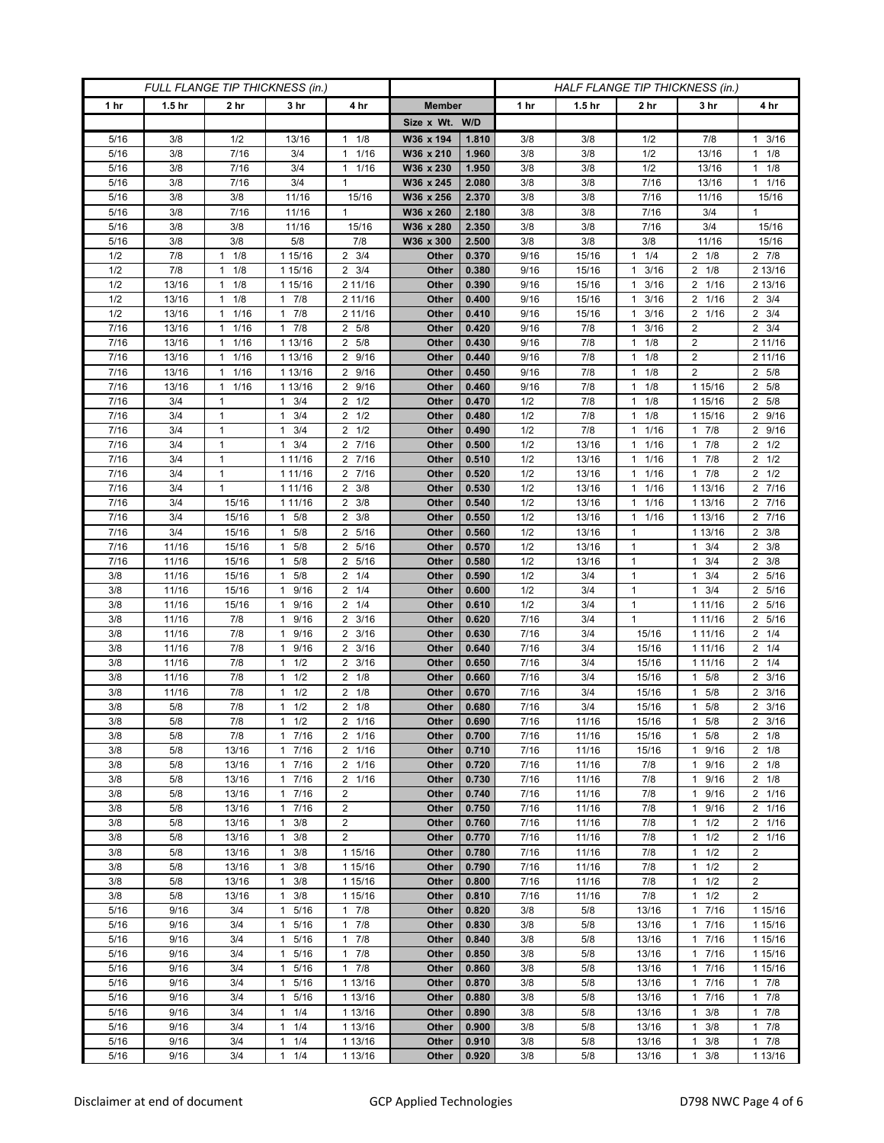| FULL FLANGE TIP THICKNESS (in.) |                   |                                 |                                             |                          |                | HALF FLANGE TIP THICKNESS (in.) |              |                   |                                              |                           |                                    |
|---------------------------------|-------------------|---------------------------------|---------------------------------------------|--------------------------|----------------|---------------------------------|--------------|-------------------|----------------------------------------------|---------------------------|------------------------------------|
| 1 hr                            | 1.5 <sub>hr</sub> | 2 <sub>hr</sub>                 | 3 <sub>hr</sub>                             | 4 hr                     | <b>Member</b>  |                                 | 1 hr         | 1.5 <sub>hr</sub> | 2 <sub>hr</sub>                              | 3 hr                      | 4 hr                               |
|                                 |                   |                                 |                                             |                          | Size x Wt. W/D |                                 |              |                   |                                              |                           |                                    |
| 5/16                            | 3/8               | 1/2                             | 13/16                                       | 1/8<br>$\mathbf{1}$      | W36 x 194      | 1.810                           | 3/8          | 3/8               | 1/2                                          | 7/8                       | 3/16<br>$\mathbf{1}$               |
| 5/16                            | 3/8               | 7/16                            | 3/4                                         | 1/16<br>$\mathbf{1}$     | W36 x 210      | 1.960                           | 3/8          | 3/8               | 1/2                                          | 13/16                     | $1 \t1/8$                          |
| 5/16                            | 3/8               | 7/16                            | 3/4                                         | 1/16<br>$\mathbf{1}$     | W36 x 230      | 1.950                           | 3/8          | 3/8               | 1/2                                          | 13/16                     | $1 \t1/8$                          |
| 5/16                            | 3/8               | 7/16                            | 3/4                                         | 1                        | W36 x 245      | 2.080                           | 3/8          | 3/8               | 7/16                                         | 13/16                     | $1 \t1/16$                         |
| 5/16                            | 3/8               | 3/8                             | 11/16                                       | 15/16                    | W36 x 256      | 2.370                           | 3/8          | 3/8               | 7/16                                         | 11/16                     | 15/16                              |
| 5/16                            | 3/8               | 7/16                            | 11/16                                       | $\mathbf{1}$             | W36 x 260      | 2.180                           | 3/8          | 3/8               | 7/16                                         | 3/4                       | $\mathbf{1}$                       |
| 5/16                            | 3/8               | 3/8                             | 11/16                                       | 15/16                    | W36 x 280      | 2.350                           | 3/8          | 3/8               | 7/16                                         | 3/4                       | 15/16                              |
| 5/16                            | 3/8               | 3/8                             | 5/8                                         | 7/8                      | W36 x 300      | 2.500                           | 3/8          | 3/8               | 3/8                                          | 11/16                     | 15/16                              |
| 1/2                             | 7/8               | 1/8<br>1                        | 1 15/16                                     | $2 \frac{3}{4}$          | Other          | 0.370                           | 9/16         | 15/16             | 1/4<br>$\mathbf{1}$                          | $2 \t1/8$                 | $2 \t 7/8$                         |
| 1/2                             | 7/8               | 1/8<br>$\mathbf{1}$             | 1 15/16                                     | $2 \frac{3}{4}$          | Other          | 0.380                           | 9/16         | 15/16             | 3/16<br>$\mathbf{1}$                         | $2 \t1/8$                 | 2 13/16                            |
| 1/2<br>1/2                      | 13/16<br>13/16    | 1/8<br>$\mathbf{1}$<br>1<br>1/8 | 1 15/16<br>$1 \t7/8$                        | 2 11/16<br>2 11/16       | Other<br>Other | 0.390<br>0.400                  | 9/16<br>9/16 | 15/16<br>15/16    | 3/16<br>$\mathbf{1}$<br>3/16<br>$\mathbf{1}$ | 2 1/16<br>2 1/16          | 2 13/16<br>$2 \frac{3}{4}$         |
| 1/2                             | 13/16             | 1/16<br>1                       | 7/8<br>1                                    | 2 11/16                  | Other          | 0.410                           | 9/16         | 15/16             | 3/16<br>-1                                   | 2 1/16                    | $2 \frac{3}{4}$                    |
| 7/16                            | 13/16             | 1/16<br>$\mathbf{1}$            | $1 \t7/8$                                   | 2 5/8                    | Other          | 0.420                           | 9/16         | 7/8               | 3/16<br>1                                    | 2                         | $2 \frac{3}{4}$                    |
| 7/16                            | 13/16             | 1/16<br>1                       | 1 13/16                                     | 5/8<br>2                 | Other          | 0.430                           | 9/16         | 7/8               | 1/8<br>$\mathbf{1}$                          | 2                         | 2 11/16                            |
| $\frac{1}{7}{16}$               | 13/16             | 1/16<br>1                       | 1 13/16                                     | $\overline{2}$<br>9/16   | Other          | 0.440                           | 9/16         | 7/8               | 1/8<br>$\mathbf{1}$                          | $\overline{2}$            | 2 11/16                            |
| 7/16                            | 13/16             | 1/16<br>$\mathbf{1}$            | 1 13/16                                     | 9/16<br>2                | Other          | 0.450                           | 9/16         | 7/8               | 1/8<br>$\mathbf{1}$                          | $\overline{2}$            | 2 5/8                              |
| 7/16                            | 13/16             | $1 \t1/16$                      | 1 13/16                                     | $2\overline{9/16}$       | Other          | 0.460                           | 9/16         | 7/8               | 1/8<br>$\mathbf{1}$                          | 1 15/16                   | 2 5/8                              |
| 7/16                            | 3/4               | 1                               | $1 \t3/4$                                   | $2 \frac{1}{2}$          | Other          | 0.470                           | 1/2          | 7/8               | 1/8<br>$\mathbf{1}$                          | 1 15/16                   | 2 5/8                              |
| 7/16                            | 3/4               | $\mathbf{1}$                    | 3/4<br>1                                    | $\overline{2}$<br>1/2    | Other          | 0.480                           | 1/2          | 7/8               | 1/8<br>$\mathbf{1}$                          | 1 15/16                   | 2 9/16                             |
| 7/16                            | 3/4               | $\mathbf{1}$                    | $1 \t3/4$                                   | $2 \frac{1}{2}$          | Other          | 0.490                           | 1/2          | 7/8               | 1/16<br>$\mathbf{1}$                         | $1 \overline{7/8}$        | 2 9/16                             |
| 7/16                            | 3/4               | $\mathbf{1}$                    | $1 \t3/4$                                   | 2 7/16                   | Other          | 0.500                           | 1/2          | 13/16             | 1/16<br>$\mathbf{1}$                         | $\overline{1}$ 7/8        | $2 \frac{1}{2}$                    |
| 7/16                            | 3/4               | $\mathbf{1}$                    | 1 11/16                                     | 7/16<br>2                | Other          | 0.510                           | 1/2          | 13/16             | 1/16<br>$\mathbf{1}$                         | 7/8<br>1                  | $2 \frac{1}{2}$                    |
| 7/16                            | 3/4               | $\mathbf{1}$                    | 1 11/16                                     | 7/16<br>$\overline{2}$   | <b>Other</b>   | 0.520                           | 1/2          | 13/16             | 1/16<br>$\mathbf{1}$                         | 7/8<br>$\mathbf{1}$       | $2 \frac{1}{2}$                    |
| 7/16                            | 3/4               | 1                               | 1 11/16                                     | 3/8<br>2                 | Other          | 0.530                           | 1/2          | 13/16             | 1/16<br>$\mathbf{1}$                         | 1 13/16                   | 2 7/16                             |
| 7/16                            | 3/4               | 15/16                           | 1 11/16                                     | 3/8<br>2                 | Other          | 0.540                           | 1/2          | 13/16             | 1/16<br>$\mathbf{1}$                         | 1 13/16                   | 2 7/16                             |
| 7/16                            | 3/4               | 15/16                           | $1 \t5/8$                                   | 3/8<br>$\overline{2}$    | <b>Other</b>   | 0.550                           | 1/2          | 13/16             | 1/16<br>$\mathbf{1}$                         | 1 13/16                   | $2 \t 7/16$                        |
| 7/16                            | 3/4               | 15/16                           | $1 \t5/8$                                   | $\overline{2}$<br>5/16   | Other          | 0.560                           | 1/2          | 13/16             | $\mathbf{1}$                                 | 1 13/16                   | $2 \frac{3}{8}$                    |
| 7/16<br>7/16                    | 11/16<br>11/16    | 15/16<br>15/16                  | 5/8<br>1<br>5/8<br>1                        | 5/16<br>2<br>5/16<br>2   | Other<br>Other | 0.570<br>0.580                  | 1/2<br>1/2   | 13/16<br>13/16    | $\mathbf{1}$<br>$\mathbf{1}$                 | 3/4<br>1<br>3/4<br>1      | $2 \frac{3}{8}$<br>$2 \frac{3}{8}$ |
| 3/8                             | 11/16             | 15/16                           | 5/8<br>$\mathbf{1}$                         | 2<br>1/4                 | Other          | 0.590                           | 1/2          | 3/4               | $\mathbf{1}$                                 | 3/4<br>1                  | 2 5/16                             |
| 3/8                             | 11/16             | 15/16                           | 9/16<br>1                                   | 2<br>1/4                 | Other          | 0.600                           | 1/2          | 3/4               | $\mathbf{1}$                                 | 3/4<br>1                  | 2 5/16                             |
| 3/8                             | 11/16             | 15/16                           | 9/16<br>1                                   | 1/4<br>2                 | Other          | 0.610                           | 1/2          | 3/4               | $\mathbf{1}$                                 | 1 11/16                   | 2 5/16                             |
| 3/8                             | 11/16             | 7/8                             | 9/16<br>1                                   | $\overline{2}$<br>3/16   | Other          | 0.620                           | 7/16         | 3/4               | $\mathbf{1}$                                 | 1 11/16                   | 2 5/16                             |
| 3/8                             | 11/16             | 7/8                             | 9/16<br>1                                   | 3/16<br>$\overline{2}$   | Other          | 0.630                           | 7/16         | 3/4               | 15/16                                        | 1 1 1 / 16                | $2 \t1/4$                          |
| 3/8                             | 11/16             | 7/8                             | 9/16<br>1                                   | 3/16<br>2                | Other          | 0.640                           | 7/16         | 3/4               | 15/16                                        | 1 1 1 / 1 6               | $2 \t1/4$                          |
| 3/8                             | 11/16             | 7/8                             | 1/2<br>1                                    | $\overline{2}$<br>3/16   | Other          | 0.650                           | 7/16         | 3/4               | 15/16                                        | 1 11/16                   | $2 \t1/4$                          |
| 3/8                             | 11/16             | 7/8                             | 1/2<br>1                                    | $\overline{2}$<br>1/8    | Other          | 0.660                           | 7/16         | 3/4               | 15/16                                        | 5/8<br>1                  | $2 \frac{3}{16}$                   |
| 3/8                             | 11/16             | 7/8                             | 1/2<br>$\mathbf{1}$                         | $\overline{2}$<br>1/8    | Other          | 0.670                           | 7/16         | 3/4               | 15/16                                        | 5/8<br>1                  | $2 \frac{3}{16}$                   |
| 3/8                             | 5/8               | 7/8                             | 1/2<br>1                                    | $\overline{2}$<br>1/8    | Other          | 0.680                           | 7/16         | 3/4               | 15/16                                        | 5/8                       | $2 \frac{3}{16}$                   |
| 3/8                             | 5/8               | 7/8                             | 1/2<br>$\mathbf{1}$                         | 2 1/16                   | Other          | 0.690                           | 7/16         | 11/16             | 15/16                                        | 5/8<br>$\mathbf{1}$       | $2 \frac{3}{16}$                   |
| 3/8                             | 5/8               | $7/8$                           | 17/16                                       | 2 1/16                   | Other          | 0.700                           | 7/16         | 11/16             | 15/16                                        | 5/8<br>$\mathbf{1}$       | $2 \frac{1}{8}$                    |
| 3/8                             | 5/8               | 13/16                           | 17/16                                       | 2 1/16                   | Other          | 0.710                           | 7/16         | 11/16             | 15/16                                        | 9/16<br>$\mathbf{1}$      | $2 \t1/8$                          |
| 3/8                             | 5/8<br>5/8        | 13/16<br>13/16                  | 17/16<br>$\mathbf{1}$                       | 2 1/16<br>$\overline{2}$ | Other<br>Other | 0.720<br>0.730                  | 7/16         | 11/16             | 7/8<br>7/8                                   | 9/16<br>$\mathbf{1}$<br>1 | $2 \t1/8$<br>$2 \t1/8$             |
| 3/8<br>3/8                      | 5/8               | 13/16                           | 7/16<br>17/16                               | 1/16<br>$\overline{2}$   | Other          | 0.740                           | 7/16<br>7/16 | 11/16<br>11/16    | 7/8                                          | 9/16<br>9/16<br>1         | 2 1/16                             |
| 3/8                             | 5/8               | 13/16                           | 17/16                                       | 2                        | Other          | 0.750                           | 7/16         | 11/16             | 7/8                                          | 1 9/16                    | 2 1/16                             |
| 3/8                             | 5/8               | 13/16                           | 3/8<br>1                                    | $\overline{c}$           | Other          | 0.760                           | 7/16         | 11/16             | 7/8                                          | 1/2<br>1                  | 2 1/16                             |
| 3/8                             | 5/8               | 13/16                           | $1 \t3/8$                                   | $\overline{2}$           | Other          | 0.770                           | 7/16         | 11/16             | 7/8                                          | 1/2<br>$\mathbf{1}$       | 2 1/16                             |
| 3/8                             | 5/8               | 13/16                           | $1 \t3/8$                                   | 1 15/16                  | Other          | 0.780                           | 7/16         | 11/16             | 7/8                                          | $1 \t1/2$                 | 2                                  |
| 3/8                             | 5/8               | 13/16                           | 3/8<br>1                                    | 1 15/16                  | Other          | 0.790                           | 7/16         | 11/16             | 7/8                                          | 1/2<br>1                  | $\overline{2}$                     |
| 3/8                             | 5/8               | 13/16                           | 3/8<br>$\mathbf{1}$                         | 1 15/16                  | Other          | 0.800                           | 7/16         | 11/16             | 7/8                                          | 1/2<br>$\mathbf{1}$       | $\overline{2}$                     |
| 3/8                             | 5/8               | 13/16                           | 3/8<br>$\mathbf{1}$                         | 1 15/16                  | Other          | 0.810                           | 7/16         | 11/16             | 7/8                                          | $1 \t1/2$                 | $\overline{2}$                     |
| 5/16                            | 9/16              | 3/4                             | 5/16<br>1                                   | 7/8<br>$\mathbf{1}$      | Other          | 0.820                           | 3/8          | 5/8               | 13/16                                        | 7/16<br>1                 | 1 15/16                            |
| 5/16                            | 9/16              | 3/4                             | 5/16<br>1                                   | 7/8<br>$\mathbf{1}$      | Other          | 0.830                           | 3/8          | 5/8               | 13/16                                        | 7/16<br>1                 | 1 15/16                            |
| 5/16                            | 9/16              | 3/4                             | $\mathbf{1}$<br>5/16                        | 7/8<br>$\mathbf{1}$      | Other          | 0.840                           | 3/8          | 5/8               | 13/16                                        | 1 7/16                    | 1 15/16                            |
| 5/16                            | 9/16              | 3/4                             | 5/16<br>1                                   | 7/8<br>$\mathbf{1}$      | Other          | 0.850                           | 3/8          | 5/8               | 13/16                                        | 17/16                     | 1 15/16                            |
| 5/16                            | 9/16              | 3/4                             | 5/16<br>1                                   | 7/8<br>1                 | Other          | 0.860                           | 3/8          | 5/8               | 13/16                                        | 7/16<br>$\mathbf{1}$      | 1 15/16                            |
| 5/16                            | 9/16              | 3/4                             | $\mathbf{1}$<br>5/16                        | 1 13/16                  | Other          | 0.870                           | 3/8          | 5/8               | 13/16                                        | 17/16                     | 17/8                               |
| 5/16<br>5/16                    | 9/16<br>9/16      | 3/4                             | 5/16<br>$\mathbf{1}$<br>1/4<br>$\mathbf{1}$ | 1 13/16                  | Other          | 0.880                           | 3/8          | 5/8               | 13/16                                        | 7/16<br>1<br>3/8<br>1     | $1 \t7/8$<br>17/8                  |
| 5/16                            | 9/16              | 3/4<br>3/4                      | 1<br>1/4                                    | 1 13/16<br>1 13/16       | Other<br>Other | 0.890<br>0.900                  | 3/8<br>3/8   | 5/8<br>5/8        | 13/16<br>13/16                               | 3/8                       | 17/8                               |
| 5/16                            | 9/16              | 3/4                             | 1/4<br>$\mathbf{1}$                         | 1 13/16                  | Other          | 0.910                           | 3/8          | 5/8               | 13/16                                        | 3/8<br>1                  | 17/8                               |
| $5/16$                          | 9/16              | 3/4                             | $\mathbf{1}$<br>1/4                         | 1 13/16                  | Other          | 0.920                           | 3/8          | 5/8               | 13/16                                        | 3/8<br>1                  | 1 13/16                            |
|                                 |                   |                                 |                                             |                          |                |                                 |              |                   |                                              |                           |                                    |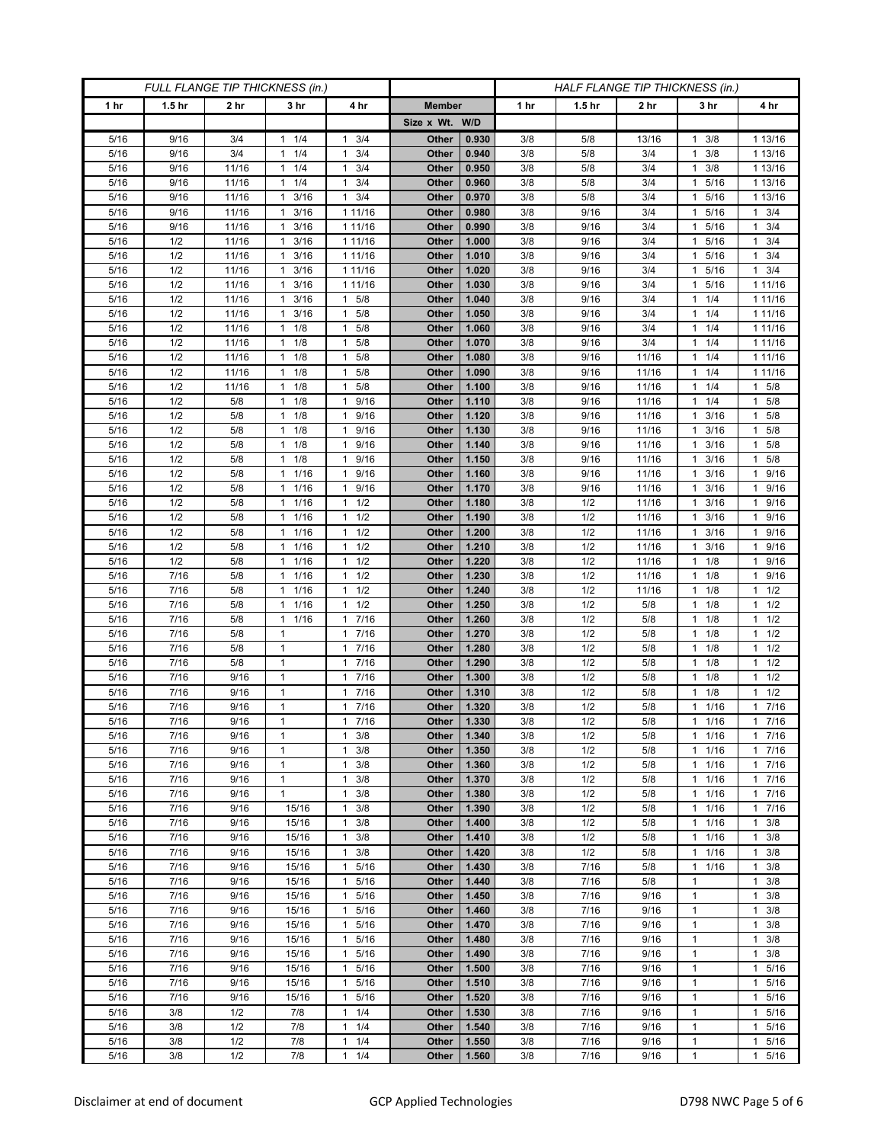| FULL FLANGE TIP THICKNESS (in.) |                   |                 |                                  |                                             | HALF FLANGE TIP THICKNESS (in.) |                |            |                   |                 |                                   |                                |
|---------------------------------|-------------------|-----------------|----------------------------------|---------------------------------------------|---------------------------------|----------------|------------|-------------------|-----------------|-----------------------------------|--------------------------------|
| 1 <sub>hr</sub>                 | 1.5 <sub>hr</sub> | 2 <sub>hr</sub> | 3 <sub>hr</sub>                  | 4 hr                                        | <b>Member</b>                   |                | 1 hr       | 1.5 <sub>hr</sub> | 2 <sub>hr</sub> | 3 hr                              | 4 hr                           |
|                                 |                   |                 |                                  |                                             | Size x Wt. W/D                  |                |            |                   |                 |                                   |                                |
| 5/16                            | 9/16              | 3/4             | 1/4<br>1                         | 3/4<br>1                                    | Other                           | 0.930          | 3/8        | 5/8               | 13/16           | 3/8                               | 1 13/16                        |
| 5/16                            | 9/16              | 3/4             | 1/4<br>$\mathbf{1}$              | 3/4<br>$\mathbf{1}$                         | Other                           | 0.940          | 3/8        | 5/8               | 3/4             | 3/8<br>$\mathbf{1}$               | 1 13/16                        |
| 5/16                            | 9/16              | 11/16           | $1 \t1/4$                        | $\mathbf{1}$<br>3/4                         | Other                           | 0.950          | 3/8        | 5/8               | 3/4             | 3/8<br>1                          | 1 13/16                        |
| 5/16                            | 9/16              | 11/16           | 1/4<br>-1                        | 3/4<br>$\mathbf{1}$                         | Other                           | 0.960          | 3/8        | 5/8               | 3/4             | 5/16<br>1                         | 1 13/16                        |
| 5/16                            | 9/16              | 11/16           | 3/16<br>$\mathbf{1}$             | 3/4<br>$\mathbf{1}$                         | Other                           | 0.970          | 3/8        | 5/8               | 3/4             | 5/16<br>1                         | 1 13/16                        |
| 5/16                            | 9/16              | 11/16           | $\mathbf{1}$<br>3/16             | 1 11/16                                     | Other                           | 0.980          | 3/8        | 9/16              | 3/4             | 5/16<br>1                         | 3/4<br>$\mathbf{1}$            |
| 5/16                            | 9/16              | 11/16           | 3/16<br>1                        | 1 11/16                                     | Other                           | 0.990          | 3/8        | 9/16              | 3/4             | 5/16<br>1                         | $1 \t3/4$                      |
| 5/16                            | 1/2               | 11/16           | 3/16<br>1                        | 1 11/16                                     | Other                           | 1.000          | 3/8        | 9/16              | 3/4             | 5/16<br>1                         | $1 \t3/4$                      |
| 5/16                            | 1/2               | 11/16           | 3/16<br>1                        | 1 11/16                                     | Other                           | 1.010          | 3/8        | 9/16              | 3/4             | 5/16                              | 3/4<br>$\mathbf{1}$            |
| 5/16                            | 1/2               | 11/16           | 3/16<br>1                        | 1 11/16                                     | Other                           | 1.020          | 3/8        | 9/16              | 3/4             | 5/16<br>1                         | $1 \t3/4$                      |
| 5/16<br>5/16                    | 1/2<br>1/2        | 11/16<br>11/16  | 3/16<br>$\mathbf 1$<br>3/16<br>1 | 1 11/16<br>5/8<br>1                         | Other<br>Other                  | 1.030<br>1.040 | 3/8<br>3/8 | 9/16<br>9/16      | 3/4<br>3/4      | 5/16<br>1<br>1/4                  | 1 1 1 / 16<br>1 11/16          |
| 5/16                            | 1/2               | 11/16           | 3/16<br>1                        | 5/8<br>1                                    | Other                           | 1.050          | 3/8        | 9/16              | 3/4             | 1/4<br>1                          | 1 11/16                        |
| 5/16                            | 1/2               | 11/16           | $1 \t1/8$                        | 5/8<br>1                                    | Other                           | 1.060          | 3/8        | 9/16              | 3/4             | 1/4<br>1                          | 1 11/16                        |
| 5/16                            | 1/2               | 11/16           | 1/8<br>1                         | 5/8<br>1                                    | Other                           | 1.070          | 3/8        | 9/16              | 3/4             | 1/4                               | 1 11/16                        |
| 5/16                            | 1/2               | 11/16           | 1/8<br>$\mathbf{1}$              | 5/8<br>$\mathbf{1}$                         | Other                           | 1.080          | 3/8        | 9/16              | 11/16           | 1/4<br>1                          | 1 11/16                        |
| 5/16                            | 1/2               | 11/16           | 1/8<br>$\mathbf{1}$              | 5/8<br>1                                    | Other                           | 1.090          | 3/8        | 9/16              | 11/16           | 1/4<br>1                          | 1 11/16                        |
| 5/16                            | 1/2               | 11/16           | $1 \t1/8$                        | 5/8<br>1                                    | Other                           | 1.100          | 3/8        | 9/16              | 11/16           | $1 \t1/4$                         | $1 \t5/8$                      |
| 5/16                            | 1/2               | 5/8             | 1/8<br>$\mathbf{1}$              | 9/16<br>1                                   | Other                           | 1.110          | 3/8        | 9/16              | 11/16           | 1/4<br>1                          | $1 \t5/8$                      |
| 5/16                            | 1/2               | 5/8             | 1/8<br>1                         | 9/16<br>1                                   | Other                           | 1.120          | 3/8        | 9/16              | 11/16           | 3/16<br>1                         | 5/8<br>$\mathbf{1}$            |
| 5/16                            | 1/2               | 5/8             | $1 \t1/8$                        | 9/16<br>$\mathbf{1}$                        | Other                           | 1.130          | 3/8        | 9/16              | 11/16           | 3/16<br>$\mathbf{1}$              | $1 \t5/8$                      |
| 5/16                            | 1/2               | 5/8             | $1 \t1/8$                        | 9/16<br>1                                   | Other                           | 1.140          | 3/8        | 9/16              | 11/16           | 3/16<br>1                         | $1 \t5/8$                      |
| 5/16                            | 1/2               | 5/8             | 1/8<br>1                         | 9/16<br>1                                   | Other                           | 1.150          | 3/8        | 9/16              | 11/16           | 3/16                              | 5/8<br>1                       |
| 5/16                            | 1/2               | 5/8             | 1/16<br>$\mathbf{1}$             | 9/16<br>$\mathbf{1}$                        | Other                           | 1.160          | 3/8        | 9/16              | 11/16           | 3/16<br>1                         | 1 9/16                         |
| 5/16                            | 1/2               | 5/8             | 1 1/16                           | 9/16<br>1                                   | Other                           | 1.170          | 3/8        | 9/16              | 11/16           | 3/16<br>1.                        | 1 9/16                         |
| 5/16                            | 1/2               | 5/8             | 1/16<br>1                        | 1/2<br>1                                    | Other                           | 1.180          | 3/8        | 1/2               | 11/16           | 3/16                              | 9/16<br>$\mathbf{1}$           |
| 5/16                            | 1/2               | 5/8             | 1/16<br>$\mathbf{1}$             | 1/2<br>$\mathbf{1}$                         | Other                           | 1.190          | 3/8        | 1/2               | 11/16           | 3/16<br>1                         | 1 9/16                         |
| 5/16<br>5/16                    | 1/2<br>1/2        | 5/8<br>5/8      | 1 1/16<br>1/16<br>1              | 1/2<br>$\mathbf{1}$<br>1/2<br>$\mathbf{1}$  | Other<br>Other                  | 1.200<br>1.210 | 3/8<br>3/8 | 1/2<br>1/2        | 11/16<br>11/16  | 3/16<br>1.<br>3/16<br>1           | 1 9/16<br>9/16<br>$\mathbf{1}$ |
| 5/16                            | 1/2               | 5/8             | $\mathbf{1}$<br>1/16             | $\mathbf{1}$<br>1/2                         | Other                           | 1.220          | 3/8        | 1/2               | 11/16           | 1/8<br>1                          | 1 9/16                         |
| 5/16                            | 7/16              | 5/8             | 1 1/16                           | 1/2<br>$\mathbf{1}$                         | Other                           | 1.230          | 3/8        | 1/2               | 11/16           | 1/8<br>1.                         | 1 9/16                         |
| 5/16                            | 7/16              | 5/8             | 1/16<br>1                        | 1/2<br>1                                    | Other                           | 1.240          | 3/8        | 1/2               | 11/16           | 1/8<br>1                          | $1 \t1/2$                      |
| 5/16                            | 7/16              | 5/8             | 1/16<br>1                        | 1/2<br>$\mathbf{1}$                         | Other                           | 1.250          | 3/8        | 1/2               | 5/8             | 1/8<br>1                          | $1 \t1/2$                      |
| 5/16                            | 7/16              | 5/8             | 1/16<br>$\mathbf{1}$             | 7/16<br>$\mathbf{1}$                        | Other                           | 1.260          | 3/8        | 1/2               | 5/8             | 1/8                               | $1 \t1/2$                      |
| 5/16                            | 7/16              | 5/8             | $\mathbf{1}$                     | 7/16<br>$\mathbf{1}$                        | Other                           | 1.270          | 3/8        | 1/2               | 5/8             | 1/8<br>1                          | $1 \t1/2$                      |
| 5/16                            | 7/16              | 5/8             | $\mathbf{1}$                     | 7/16<br>$\mathbf{1}$                        | Other                           | 1.280          | 3/8        | 1/2               | 5/8             | 1/8<br>$\mathbf{1}$               | $1 \t1/2$                      |
| 5/16                            | 7/16              | 5/8             | 1                                | 7/16<br>$\mathbf{1}$                        | Other                           | 1.290          | 3/8        | 1/2               | 5/8             | 1/8                               | $1 \t1/2$                      |
| 5/16                            | 7/16              | 9/16            | $\mathbf{1}$                     | 7/16<br>$\mathbf{1}$                        | Other                           | 1.300          | 3/8        | 1/2               | 5/8             | 1/8<br>1                          | 1/2<br>1.                      |
| 5/16                            | 7/16              | 9/16            | $\mathbf{1}$                     | 7/16<br>$\mathbf{1}$                        | Other                           | 1.310          | 3/8        | 1/2               | 5/8             | 1/8<br>1                          | $1 \t1/2$                      |
| 5/16                            | 7/16              | 9/16            | 1                                | 7/16<br>$\mathbf{1}$                        | Other                           | 1.320          | 3/8        | 1/2               | 5/8             | 1/16                              | 17/16                          |
| 5/16                            | $7/16$            | 9/16            | $\mathbf{1}$                     | 7/16<br>$\mathbf{1}$                        | Other                           | 1.330          | 3/8        | 1/2               | 5/8             | 1/16<br>$\mathbf{1}$              | $1 \t7/16$                     |
| 5/16                            | 7/16              | 9/16            | $\mathbf{1}$                     | 3/8<br>$\mathbf{1}$                         | Other                           | 1.340          | 3/8        | 1/2               | 5/8             | $1 \t1/16$                        | 17/16                          |
| 5/16<br>5/16                    | 7/16<br>7/16      | 9/16<br>9/16    | $\mathbf{1}$<br>$\mathbf{1}$     | $\mathbf{1}$<br>3/8<br>3/8                  | Other<br>Other                  | 1.350<br>1.360 | 3/8<br>3/8 | 1/2<br>1/2        | 5/8<br>5/8      | 1/16<br>1<br>1/16<br>$\mathbf{1}$ | 17/16<br>17/16                 |
| 5/16                            | 7/16              | 9/16            | $\mathbf{1}$                     | 1<br>3/8<br>$\mathbf{1}$                    | Other                           | 1.370          | 3/8        | 1/2               | 5/8             | 1/16<br>1                         | 17/16                          |
| 5/16                            | 7/16              | 9/16            | $\mathbf{1}$                     | 3/8<br>$\mathbf{1}$                         | Other                           | 1.380          | 3/8        | 1/2               | 5/8             | 1/16<br>1                         | 17/16                          |
| 5/16                            | 7/16              | 9/16            | 15/16                            | 3/8<br>1                                    | Other                           | 1.390          | 3/8        | 1/2               | 5/8             | 1 1/16                            | 17/16                          |
| 5/16                            | 7/16              | 9/16            | 15/16                            | $\mathbf{1}$<br>3/8                         | Other                           | 1.400          | 3/8        | 1/2               | 5/8             | 1/16<br>1                         | $1 \t3/8$                      |
| 5/16                            | 7/16              | 9/16            | 15/16                            | 3/8<br>$\mathbf{1}$                         | Other                           | 1.410          | 3/8        | 1/2               | 5/8             | 1/16<br>$\mathbf{1}$              | $1 \t3/8$                      |
| 5/16                            | 7/16              | 9/16            | 15/16                            | 3/8<br>$\mathbf{1}$                         | Other                           | 1.420          | 3/8        | 1/2               | 5/8             | 1 1/16                            | $1 \t3/8$                      |
| 5/16                            | 7/16              | 9/16            | 15/16                            | 5/16<br>1                                   | Other                           | 1.430          | 3/8        | 7/16              | 5/8             | 1/16<br>1                         | 3/8<br>$\mathbf{1}$            |
| 5/16                            | 7/16              | 9/16            | 15/16                            | 5/16<br>$\mathbf{1}$                        | Other                           | 1.440          | 3/8        | 7/16              | 5/8             | $\mathbf{1}$                      | $1 \t3/8$                      |
| 5/16                            | 7/16              | 9/16            | 15/16                            | 5/16<br>$\mathbf{1}$                        | Other                           | 1.450          | 3/8        | 7/16              | 9/16            | $\mathbf{1}$                      | $1 \t3/8$                      |
| 5/16                            | 7/16              | 9/16            | 15/16                            | 5/16<br>$\mathbf{1}$                        | Other                           | 1.460          | 3/8        | 7/16              | 9/16            | 1                                 | 3/8<br>$\mathbf{1}$            |
| 5/16                            | 7/16              | 9/16            | 15/16                            | 5/16<br>$\mathbf{1}$                        | Other                           | 1.470          | 3/8        | 7/16              | 9/16            | $\mathbf{1}$                      | $1 \t3/8$                      |
| 5/16                            | 7/16              | 9/16            | 15/16                            | 5/16<br>$\mathbf{1}$                        | Other                           | 1.480          | 3/8        | 7/16              | 9/16            | $\mathbf{1}$                      | 1<br>3/8                       |
| 5/16                            | 7/16              | 9/16            | 15/16                            | 5/16<br>$\mathbf{1}$                        | Other                           | 1.490          | 3/8        | 7/16              | 9/16            | $\mathbf{1}$                      | $1 \t3/8$                      |
| 5/16                            | 7/16              | 9/16            | 15/16                            | 5/16<br>1                                   | Other                           | 1.500          | 3/8        | 7/16              | 9/16            | $\mathbf{1}$                      | 1 5/16                         |
| 5/16                            | 7/16              | 9/16            | 15/16                            | 5/16<br>$\mathbf{1}$                        | Other                           | 1.510<br>1.520 | 3/8<br>3/8 | 7/16              | 9/16            | $\mathbf{1}$                      | 1 5/16                         |
| 5/16<br>5/16                    | 7/16<br>3/8       | 9/16<br>1/2     | 15/16<br>7/8                     | 5/16<br>$\mathbf{1}$<br>1/4<br>$\mathbf{1}$ | Other<br>Other                  | 1.530          | 3/8        | 7/16<br>7/16      | 9/16<br>9/16    | $\mathbf{1}$<br>$\mathbf{1}$      | 1 5/16<br>1 5/16               |
| 5/16                            | 3/8               | 1/2             | 7/8                              | 1/4<br>$\mathbf{1}$                         | Other                           | 1.540          | 3/8        | 7/16              | 9/16            | 1                                 | $\mathbf{1}$<br>5/16           |
| 5/16                            | 3/8               | 1/2             | 7/8                              | 1/4<br>1                                    | Other                           | 1.550          | 3/8        | 7/16              | 9/16            | 1                                 | 1 5/16                         |
| 5/16                            | 3/8               | 1/2             | 7/8                              | 1/4<br>$\mathbf{1}$                         | Other                           | 1.560          | 3/8        | 7/16              | 9/16            | $\mathbf{1}$                      | 1 5/16                         |
|                                 |                   |                 |                                  |                                             |                                 |                |            |                   |                 |                                   |                                |